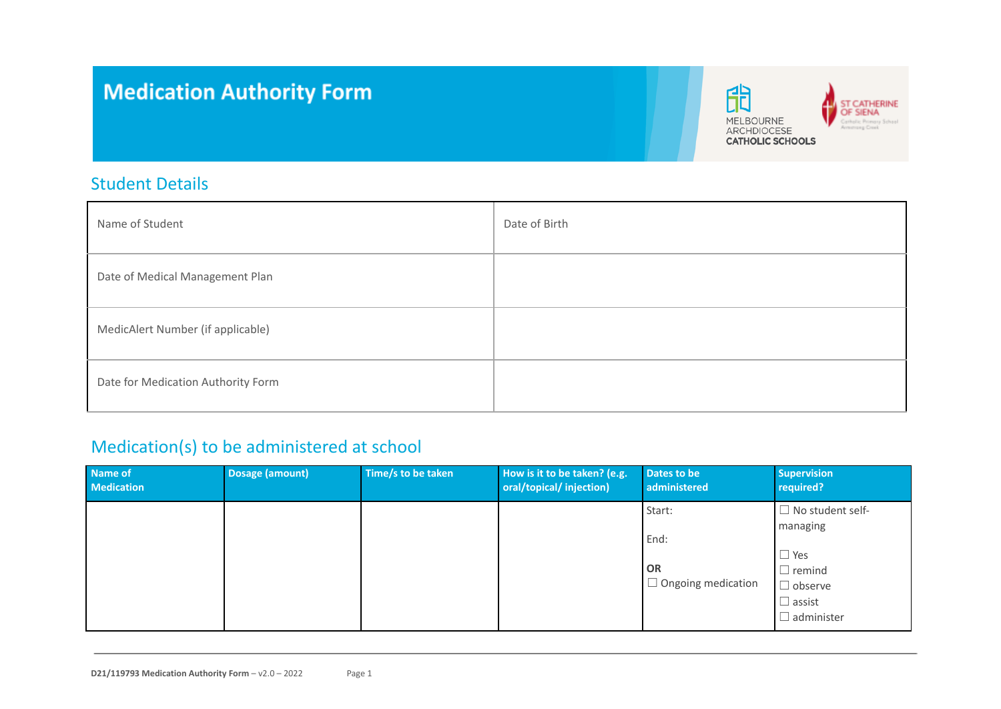# **Medication Authority Form**



## Student Details

| Name of Student                    | Date of Birth |
|------------------------------------|---------------|
| Date of Medical Management Plan    |               |
| MedicAlert Number (if applicable)  |               |
| Date for Medication Authority Form |               |

## Medication(s) to be administered at school

| Name of<br><b>Medication</b> | <b>Dosage (amount)</b> | Time/s to be taken | How is it to be taken? (e.g.<br>oral/topical/ injection) | Dates to be<br>administered                              | <b>Supervision</b><br>required?                                                                                            |
|------------------------------|------------------------|--------------------|----------------------------------------------------------|----------------------------------------------------------|----------------------------------------------------------------------------------------------------------------------------|
|                              |                        |                    |                                                          | Start:<br>End:<br><b>OR</b><br>$\Box$ Ongoing medication | $\Box$ No student self-<br>managing<br>$\Box$ Yes<br>$\Box$ remind<br>$\Box$ observe<br>$\Box$ assist<br>$\Box$ administer |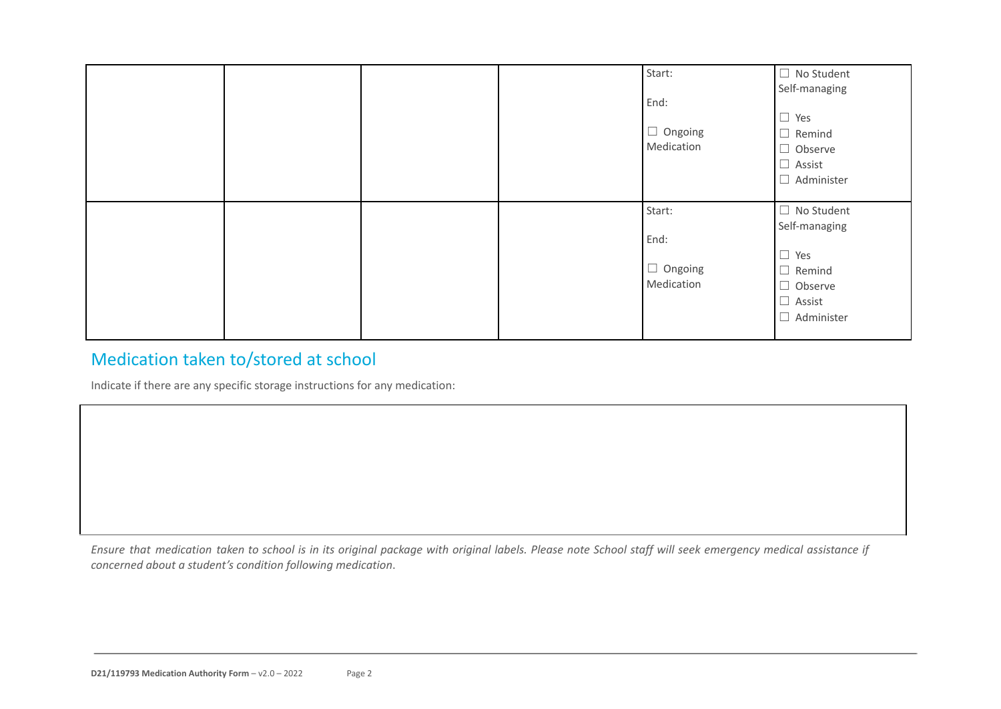|  |  | Start:<br>End:<br>$\Box$ Ongoing<br>Medication | $\Box$ No Student<br>Self-managing<br>$\Box$ Yes<br>$\Box$ Remind<br>$\Box$ Observe<br>$\Box$ Assist<br>$\Box$ Administer    |
|--|--|------------------------------------------------|------------------------------------------------------------------------------------------------------------------------------|
|  |  | Start:<br>End:<br>$\Box$ Ongoing<br>Medication | $\Box$ No Student<br>Self-managing<br>$\Box$ Yes<br>Remind<br>$\Box$<br>$\Box$ Observe<br>$\Box$ Assist<br>$\Box$ Administer |

## Medication taken to/stored at school

Indicate if there are any specific storage instructions for any medication:

Ensure that medication taken to school is in its original package with original labels. Please note School staff will seek emergency medical assistance if *concerned about a student's condition following medication*.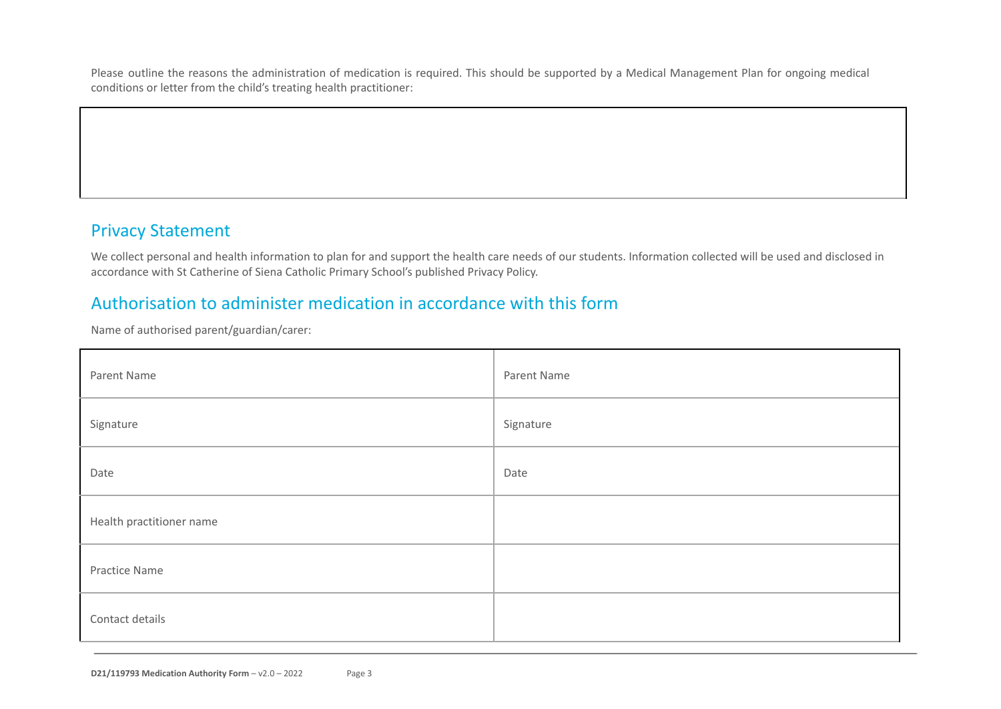Please outline the reasons the administration of medication is required. This should be supported by a Medical Management Plan for ongoing medical conditions or letter from the child's treating health practitioner:

## Privacy Statement

We collect personal and health information to plan for and support the health care needs of our students. Information collected will be used and disclosed in accordance with St Catherine of Siena Catholic Primary School's published Privacy Policy.

#### Authorisation to administer medication in accordance with this form

Name of authorised parent/guardian/carer:

| Parent Name              | Parent Name |
|--------------------------|-------------|
| Signature                | Signature   |
| Date                     | Date        |
| Health practitioner name |             |
| Practice Name            |             |
| Contact details          |             |